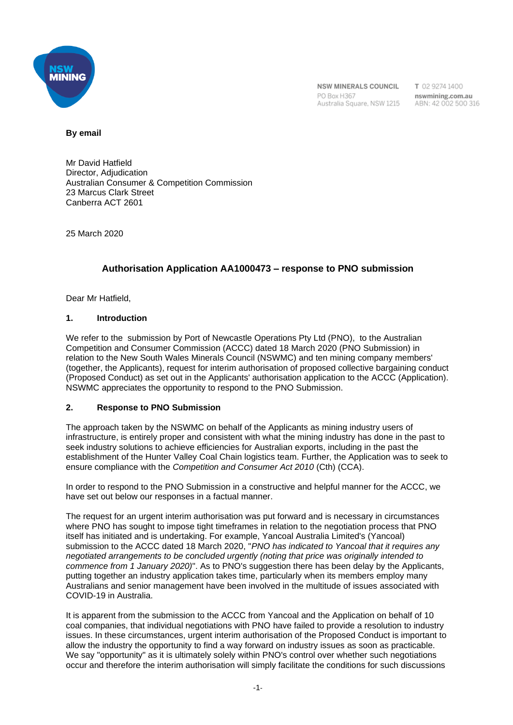

NSW MINERALS COUNCIL PO Rox H367 Australia Square, NSW 1215 T 02 9274 1400 nswmining.com.au ABN: 42 002 500 316

#### **By email**

Mr David Hatfield Director, Adjudication Australian Consumer & Competition Commission 23 Marcus Clark Street Canberra ACT 2601

25 March 2020

# **Authorisation Application AA1000473 – response to PNO submission**

Dear Mr Hatfield,

# **1. Introduction**

We refer to the submission by Port of Newcastle Operations Pty Ltd (PNO), to the Australian Competition and Consumer Commission (ACCC) dated 18 March 2020 (PNO Submission) in relation to the New South Wales Minerals Council (NSWMC) and ten mining company members' (together, the Applicants), request for interim authorisation of proposed collective bargaining conduct (Proposed Conduct) as set out in the Applicants' authorisation application to the ACCC (Application). NSWMC appreciates the opportunity to respond to the PNO Submission.

## **2. Response to PNO Submission**

The approach taken by the NSWMC on behalf of the Applicants as mining industry users of infrastructure, is entirely proper and consistent with what the mining industry has done in the past to seek industry solutions to achieve efficiencies for Australian exports, including in the past the establishment of the Hunter Valley Coal Chain logistics team. Further, the Application was to seek to ensure compliance with the *Competition and Consumer Act 2010* (Cth) (CCA).

In order to respond to the PNO Submission in a constructive and helpful manner for the ACCC, we have set out below our responses in a factual manner.

The request for an urgent interim authorisation was put forward and is necessary in circumstances where PNO has sought to impose tight timeframes in relation to the negotiation process that PNO itself has initiated and is undertaking. For example, Yancoal Australia Limited's (Yancoal) submission to the ACCC dated 18 March 2020, "*PNO has indicated to Yancoal that it requires any negotiated arrangements to be concluded urgently (noting that price was originally intended to commence from 1 January 2020)*". As to PNO's suggestion there has been delay by the Applicants, putting together an industry application takes time, particularly when its members employ many Australians and senior management have been involved in the multitude of issues associated with COVID-19 in Australia.

It is apparent from the submission to the ACCC from Yancoal and the Application on behalf of 10 coal companies, that individual negotiations with PNO have failed to provide a resolution to industry issues. In these circumstances, urgent interim authorisation of the Proposed Conduct is important to allow the industry the opportunity to find a way forward on industry issues as soon as practicable. We say "opportunity" as it is ultimately solely within PNO's control over whether such negotiations occur and therefore the interim authorisation will simply facilitate the conditions for such discussions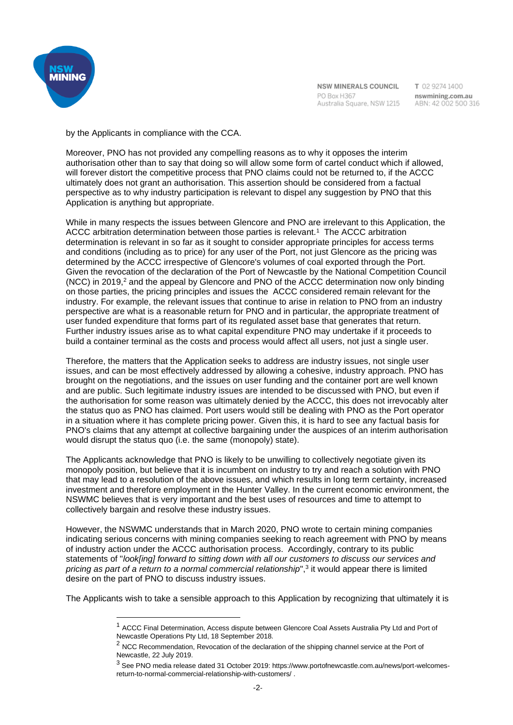

NSW MINERALS COUNCIL PO Box H367 Australia Square, NSW 1215

T 02 9274 1400 nswmining.com.au ABN: 42 002 500 316

by the Applicants in compliance with the CCA.

Moreover, PNO has not provided any compelling reasons as to why it opposes the interim authorisation other than to say that doing so will allow some form of cartel conduct which if allowed, will forever distort the competitive process that PNO claims could not be returned to, if the ACCC ultimately does not grant an authorisation. This assertion should be considered from a factual perspective as to why industry participation is relevant to dispel any suggestion by PNO that this Application is anything but appropriate.

While in many respects the issues between Glencore and PNO are irrelevant to this Application, the ACCC arbitration determination between those parties is relevant.<sup>1</sup> The ACCC arbitration determination is relevant in so far as it sought to consider appropriate principles for access terms and conditions (including as to price) for any user of the Port, not just Glencore as the pricing was determined by the ACCC irrespective of Glencore's volumes of coal exported through the Port. Given the revocation of the declaration of the Port of Newcastle by the National Competition Council (NCC) in 2019,<sup>2</sup> and the appeal by Glencore and PNO of the ACCC determination now only binding on those parties, the pricing principles and issues the ACCC considered remain relevant for the industry. For example, the relevant issues that continue to arise in relation to PNO from an industry perspective are what is a reasonable return for PNO and in particular, the appropriate treatment of user funded expenditure that forms part of its regulated asset base that generates that return. Further industry issues arise as to what capital expenditure PNO may undertake if it proceeds to build a container terminal as the costs and process would affect all users, not just a single user.

Therefore, the matters that the Application seeks to address are industry issues, not single user issues, and can be most effectively addressed by allowing a cohesive, industry approach. PNO has brought on the negotiations, and the issues on user funding and the container port are well known and are public. Such legitimate industry issues are intended to be discussed with PNO, but even if the authorisation for some reason was ultimately denied by the ACCC, this does not irrevocably alter the status quo as PNO has claimed. Port users would still be dealing with PNO as the Port operator in a situation where it has complete pricing power. Given this, it is hard to see any factual basis for PNO's claims that any attempt at collective bargaining under the auspices of an interim authorisation would disrupt the status quo (i.e. the same (monopoly) state).

The Applicants acknowledge that PNO is likely to be unwilling to collectively negotiate given its monopoly position, but believe that it is incumbent on industry to try and reach a solution with PNO that may lead to a resolution of the above issues, and which results in long term certainty, increased investment and therefore employment in the Hunter Valley. In the current economic environment, the NSWMC believes that is very important and the best uses of resources and time to attempt to collectively bargain and resolve these industry issues.

However, the NSWMC understands that in March 2020, PNO wrote to certain mining companies indicating serious concerns with mining companies seeking to reach agreement with PNO by means of industry action under the ACCC authorisation process. Accordingly, contrary to its public statements of "*look[ing] forward to sitting down with all our customers to discuss our services and*  pricing as part of a return to a normal commercial relationship",<sup>3</sup> it would appear there is limited desire on the part of PNO to discuss industry issues.

The Applicants wish to take a sensible approach to this Application by recognizing that ultimately it is

<sup>&</sup>lt;sup>1</sup> ACCC Final Determination, Access dispute between Glencore Coal Assets Australia Pty Ltd and Port of Newcastle Operations Pty Ltd, 18 September 2018.

<sup>&</sup>lt;sup>2</sup> NCC Recommendation, Revocation of the declaration of the shipping channel service at the Port of Newcastle, 22 July 2019.

<sup>3</sup> See PNO media release dated 31 October 2019: https://www.portofnewcastle.com.au/news/port-welcomesreturn-to-normal-commercial-relationship-with-customers/ .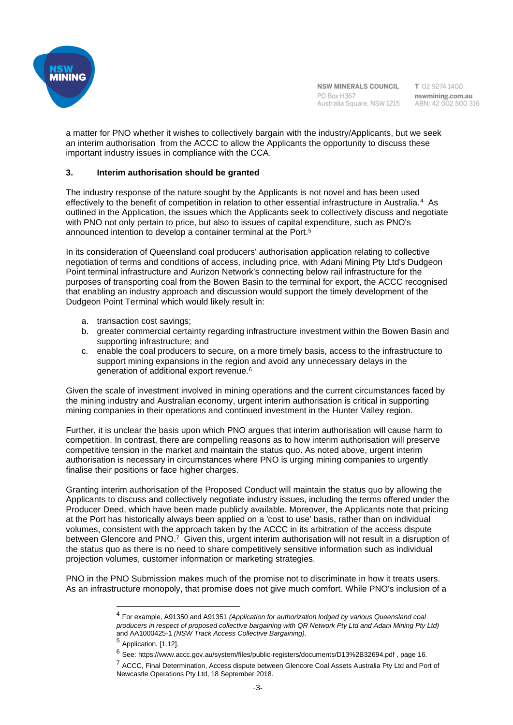

NSW MINERALS COUNCIL PO Box H367 Australia Square, NSW 1215

T 02 9274 1400 nswmining.com.au ABN: 42 002 500 316

a matter for PNO whether it wishes to collectively bargain with the industry/Applicants, but we seek an interim authorisation from the ACCC to allow the Applicants the opportunity to discuss these important industry issues in compliance with the CCA.

## **3. Interim authorisation should be granted**

The industry response of the nature sought by the Applicants is not novel and has been used effectively to the benefit of competition in relation to other essential infrastructure in Australia.<sup>4</sup> As outlined in the Application, the issues which the Applicants seek to collectively discuss and negotiate with PNO not only pertain to price, but also to issues of capital expenditure, such as PNO's announced intention to develop a container terminal at the Port.<sup>5</sup>

In its consideration of Queensland coal producers' authorisation application relating to collective negotiation of terms and conditions of access, including price, with Adani Mining Pty Ltd's Dudgeon Point terminal infrastructure and Aurizon Network's connecting below rail infrastructure for the purposes of transporting coal from the Bowen Basin to the terminal for export, the ACCC recognised that enabling an industry approach and discussion would support the timely development of the Dudgeon Point Terminal which would likely result in:

- a. transaction cost savings;
- b. greater commercial certainty regarding infrastructure investment within the Bowen Basin and supporting infrastructure; and
- c. enable the coal producers to secure, on a more timely basis, access to the infrastructure to support mining expansions in the region and avoid any unnecessary delays in the generation of additional export revenue.<sup>6</sup>

Given the scale of investment involved in mining operations and the current circumstances faced by the mining industry and Australian economy, urgent interim authorisation is critical in supporting mining companies in their operations and continued investment in the Hunter Valley region.

Further, it is unclear the basis upon which PNO argues that interim authorisation will cause harm to competition. In contrast, there are compelling reasons as to how interim authorisation will preserve competitive tension in the market and maintain the status quo. As noted above, urgent interim authorisation is necessary in circumstances where PNO is urging mining companies to urgently finalise their positions or face higher charges.

Granting interim authorisation of the Proposed Conduct will maintain the status quo by allowing the Applicants to discuss and collectively negotiate industry issues, including the terms offered under the Producer Deed, which have been made publicly available. Moreover, the Applicants note that pricing at the Port has historically always been applied on a 'cost to use' basis, rather than on individual volumes, consistent with the approach taken by the ACCC in its arbitration of the access dispute between Glencore and PNO.<sup>7</sup> Given this, urgent interim authorisation will not result in a disruption of the status quo as there is no need to share competitively sensitive information such as individual projection volumes, customer information or marketing strategies.

PNO in the PNO Submission makes much of the promise not to discriminate in how it treats users. As an infrastructure monopoly, that promise does not give much comfort. While PNO's inclusion of a

<sup>4</sup> For example, A91350 and A91351 *(Application for authorization lodged by various Queensland coal producers in respect of proposed collective bargaining with QR Network Pty Ltd and Adani Mining Pty Ltd)*  and AA1000425-1 *(NSW Track Access Collective Bargaining)*.

<sup>5</sup> Application, [1.12].

<sup>6</sup> See: https://www.accc.gov.au/system/files/public-registers/documents/D13%2B32694.pdf , page 16.

<sup>7</sup> ACCC, Final Determination, Access dispute between Glencore Coal Assets Australia Pty Ltd and Port of Newcastle Operations Pty Ltd, 18 September 2018.